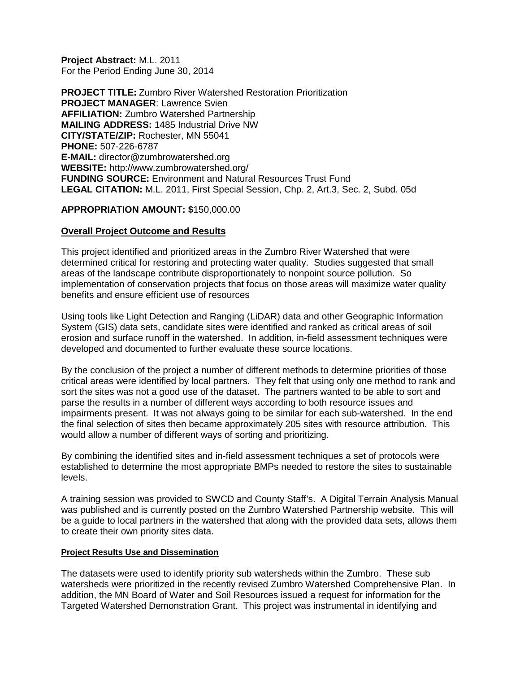**Project Abstract:** M.L. 2011 For the Period Ending June 30, 2014

**PROJECT TITLE:** Zumbro River Watershed Restoration Prioritization **PROJECT MANAGER**: Lawrence Svien **AFFILIATION:** Zumbro Watershed Partnership **MAILING ADDRESS:** 1485 Industrial Drive NW **CITY/STATE/ZIP:** Rochester, MN 55041 **PHONE:** 507-226-6787 **E-MAIL:** director@zumbrowatershed.org **WEBSITE:** http://www.zumbrowatershed.org/ **FUNDING SOURCE:** Environment and Natural Resources Trust Fund **LEGAL CITATION:** M.L. 2011, First Special Session, Chp. 2, Art.3, Sec. 2, Subd. 05d

### **APPROPRIATION AMOUNT: \$**150,000.00

### **Overall Project Outcome and Results**

This project identified and prioritized areas in the Zumbro River Watershed that were determined critical for restoring and protecting water quality. Studies suggested that small areas of the landscape contribute disproportionately to nonpoint source pollution. So implementation of conservation projects that focus on those areas will maximize water quality benefits and ensure efficient use of resources

Using tools like Light Detection and Ranging (LiDAR) data and other Geographic Information System (GIS) data sets, candidate sites were identified and ranked as critical areas of soil erosion and surface runoff in the watershed. In addition, in-field assessment techniques were developed and documented to further evaluate these source locations.

By the conclusion of the project a number of different methods to determine priorities of those critical areas were identified by local partners. They felt that using only one method to rank and sort the sites was not a good use of the dataset. The partners wanted to be able to sort and parse the results in a number of different ways according to both resource issues and impairments present. It was not always going to be similar for each sub-watershed. In the end the final selection of sites then became approximately 205 sites with resource attribution. This would allow a number of different ways of sorting and prioritizing.

By combining the identified sites and in-field assessment techniques a set of protocols were established to determine the most appropriate BMPs needed to restore the sites to sustainable levels.

A training session was provided to SWCD and County Staff's. A Digital Terrain Analysis Manual was published and is currently posted on the Zumbro Watershed Partnership website. This will be a guide to local partners in the watershed that along with the provided data sets, allows them to create their own priority sites data.

#### **Project Results Use and Dissemination**

The datasets were used to identify priority sub watersheds within the Zumbro. These sub watersheds were prioritized in the recently revised Zumbro Watershed Comprehensive Plan. In addition, the MN Board of Water and Soil Resources issued a request for information for the Targeted Watershed Demonstration Grant. This project was instrumental in identifying and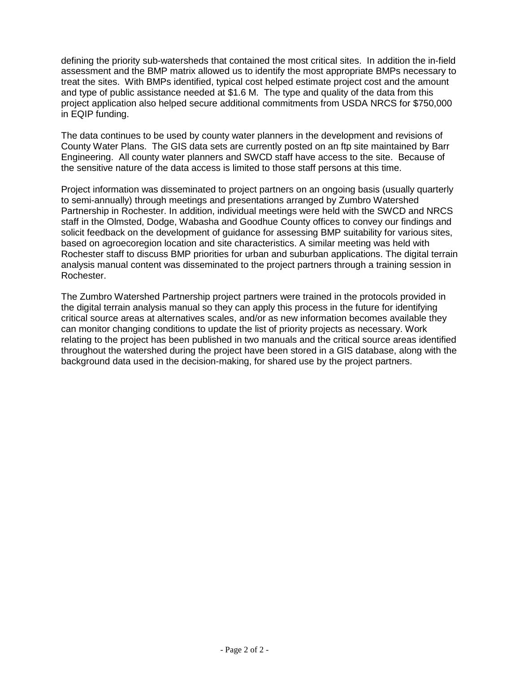defining the priority sub-watersheds that contained the most critical sites. In addition the in-field assessment and the BMP matrix allowed us to identify the most appropriate BMPs necessary to treat the sites. With BMPs identified, typical cost helped estimate project cost and the amount and type of public assistance needed at \$1.6 M. The type and quality of the data from this project application also helped secure additional commitments from USDA NRCS for \$750,000 in EQIP funding.

The data continues to be used by county water planners in the development and revisions of County Water Plans. The GIS data sets are currently posted on an ftp site maintained by Barr Engineering. All county water planners and SWCD staff have access to the site. Because of the sensitive nature of the data access is limited to those staff persons at this time.

Project information was disseminated to project partners on an ongoing basis (usually quarterly to semi-annually) through meetings and presentations arranged by Zumbro Watershed Partnership in Rochester. In addition, individual meetings were held with the SWCD and NRCS staff in the Olmsted, Dodge, Wabasha and Goodhue County offices to convey our findings and solicit feedback on the development of guidance for assessing BMP suitability for various sites, based on agroecoregion location and site characteristics. A similar meeting was held with Rochester staff to discuss BMP priorities for urban and suburban applications. The digital terrain analysis manual content was disseminated to the project partners through a training session in Rochester.

The Zumbro Watershed Partnership project partners were trained in the protocols provided in the digital terrain analysis manual so they can apply this process in the future for identifying critical source areas at alternatives scales, and/or as new information becomes available they can monitor changing conditions to update the list of priority projects as necessary. Work relating to the project has been published in two manuals and the critical source areas identified throughout the watershed during the project have been stored in a GIS database, along with the background data used in the decision-making, for shared use by the project partners.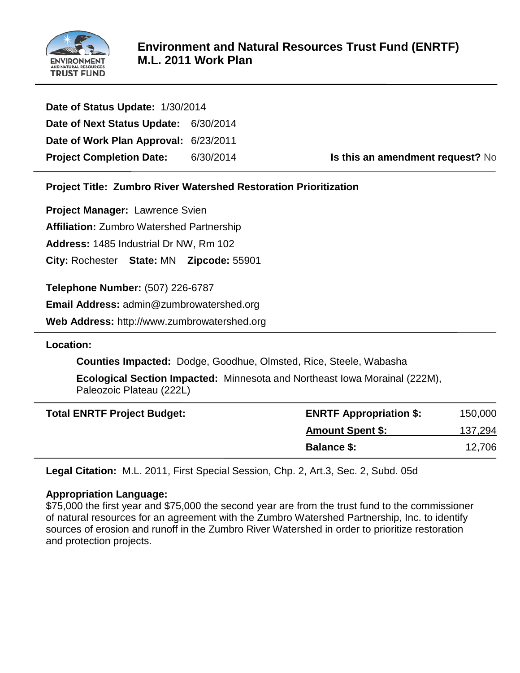

| Date of Status Update: 1/30/2014      |           |
|---------------------------------------|-----------|
| Date of Next Status Update: 6/30/2014 |           |
| Date of Work Plan Approval: 6/23/2011 |           |
| <b>Project Completion Date:</b>       | 6/30/2014 |

**Is this an amendment request?** No

**Project Title: Zumbro River Watershed Restoration Prioritization**

**Project Manager:** Lawrence Svien

**Affiliation:** Zumbro Watershed Partnership

**Address:** 1485 Industrial Dr NW, Rm 102

**City:** Rochester **State:** MN **Zipcode:** 55901

**Telephone Number:** (507) 226-6787

**Email Address:** admin@zumbrowatershed.org

**Web Address:** http://www.zumbrowatershed.org

# **Location:**

**Counties Impacted:** Dodge, Goodhue, Olmsted, Rice, Steele, Wabasha

**Ecological Section Impacted:** Minnesota and Northeast Iowa Morainal (222M), Paleozoic Plateau (222L)

| <b>Total ENRTF Project Budget:</b> | <b>ENRTF Appropriation \$:</b> | 150,000 |
|------------------------------------|--------------------------------|---------|
|                                    | <b>Amount Spent \$:</b>        | 137,294 |
|                                    | <b>Balance \$:</b>             | 12,706  |

**Legal Citation:** M.L. 2011, First Special Session, Chp. 2, Art.3, Sec. 2, Subd. 05d

# **Appropriation Language:**

\$75,000 the first year and \$75,000 the second year are from the trust fund to the commissioner of natural resources for an agreement with the Zumbro Watershed Partnership, Inc. to identify sources of erosion and runoff in the Zumbro River Watershed in order to prioritize restoration and protection projects.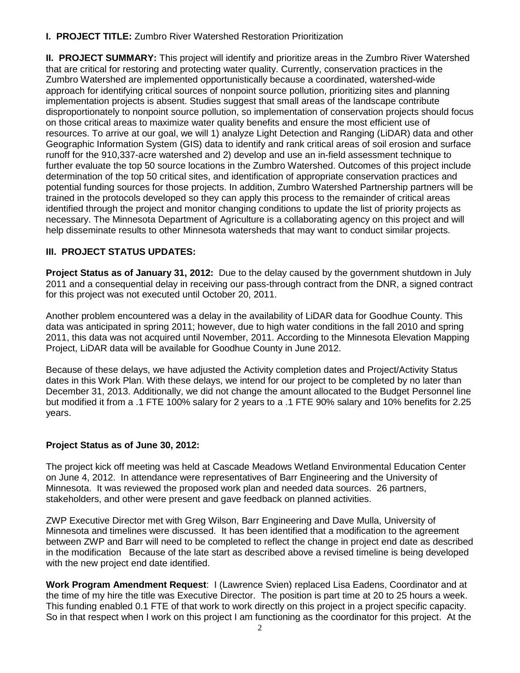# **I. PROJECT TITLE:** Zumbro River Watershed Restoration Prioritization

**II. PROJECT SUMMARY:** This project will identify and prioritize areas in the Zumbro River Watershed that are critical for restoring and protecting water quality. Currently, conservation practices in the Zumbro Watershed are implemented opportunistically because a coordinated, watershed-wide approach for identifying critical sources of nonpoint source pollution, prioritizing sites and planning implementation projects is absent. Studies suggest that small areas of the landscape contribute disproportionately to nonpoint source pollution, so implementation of conservation projects should focus on those critical areas to maximize water quality benefits and ensure the most efficient use of resources. To arrive at our goal, we will 1) analyze Light Detection and Ranging (LiDAR) data and other Geographic Information System (GIS) data to identify and rank critical areas of soil erosion and surface runoff for the 910,337-acre watershed and 2) develop and use an in-field assessment technique to further evaluate the top 50 source locations in the Zumbro Watershed. Outcomes of this project include determination of the top 50 critical sites, and identification of appropriate conservation practices and potential funding sources for those projects. In addition, Zumbro Watershed Partnership partners will be trained in the protocols developed so they can apply this process to the remainder of critical areas identified through the project and monitor changing conditions to update the list of priority projects as necessary. The Minnesota Department of Agriculture is a collaborating agency on this project and will help disseminate results to other Minnesota watersheds that may want to conduct similar projects.

# **III. PROJECT STATUS UPDATES:**

**Project Status as of January 31, 2012:** Due to the delay caused by the government shutdown in July 2011 and a consequential delay in receiving our pass-through contract from the DNR, a signed contract for this project was not executed until October 20, 2011.

Another problem encountered was a delay in the availability of LiDAR data for Goodhue County. This data was anticipated in spring 2011; however, due to high water conditions in the fall 2010 and spring 2011, this data was not acquired until November, 2011. According to the Minnesota Elevation Mapping Project, LiDAR data will be available for Goodhue County in June 2012.

Because of these delays, we have adjusted the Activity completion dates and Project/Activity Status dates in this Work Plan. With these delays, we intend for our project to be completed by no later than December 31, 2013. Additionally, we did not change the amount allocated to the Budget Personnel line but modified it from a .1 FTE 100% salary for 2 years to a .1 FTE 90% salary and 10% benefits for 2.25 years.

# **Project Status as of June 30, 2012:**

The project kick off meeting was held at Cascade Meadows Wetland Environmental Education Center on June 4, 2012. In attendance were representatives of Barr Engineering and the University of Minnesota. It was reviewed the proposed work plan and needed data sources. 26 partners, stakeholders, and other were present and gave feedback on planned activities.

ZWP Executive Director met with Greg Wilson, Barr Engineering and Dave Mulla, University of Minnesota and timelines were discussed. It has been identified that a modification to the agreement between ZWP and Barr will need to be completed to reflect the change in project end date as described in the modification Because of the late start as described above a revised timeline is being developed with the new project end date identified.

**Work Program Amendment Request**: I (Lawrence Svien) replaced Lisa Eadens, Coordinator and at the time of my hire the title was Executive Director. The position is part time at 20 to 25 hours a week. This funding enabled 0.1 FTE of that work to work directly on this project in a project specific capacity. So in that respect when I work on this project I am functioning as the coordinator for this project. At the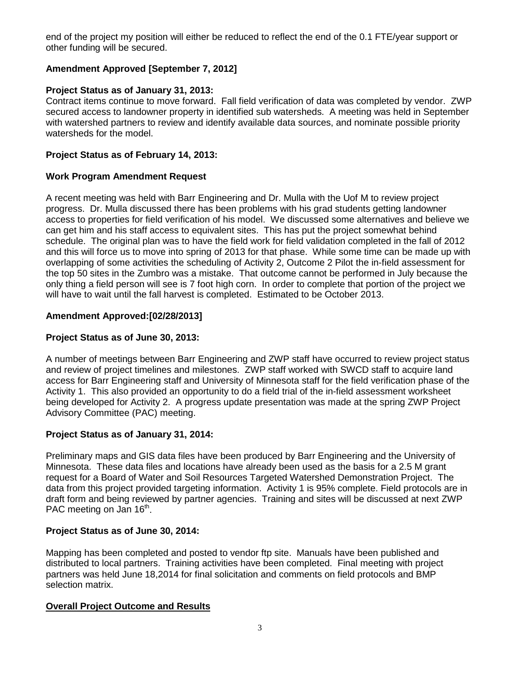end of the project my position will either be reduced to reflect the end of the 0.1 FTE/year support or other funding will be secured.

# **Amendment Approved [September 7, 2012]**

# **Project Status as of January 31, 2013:**

Contract items continue to move forward. Fall field verification of data was completed by vendor. ZWP secured access to landowner property in identified sub watersheds. A meeting was held in September with watershed partners to review and identify available data sources, and nominate possible priority watersheds for the model.

## **Project Status as of February 14, 2013:**

## **Work Program Amendment Request**

A recent meeting was held with Barr Engineering and Dr. Mulla with the Uof M to review project progress. Dr. Mulla discussed there has been problems with his grad students getting landowner access to properties for field verification of his model. We discussed some alternatives and believe we can get him and his staff access to equivalent sites. This has put the project somewhat behind schedule. The original plan was to have the field work for field validation completed in the fall of 2012 and this will force us to move into spring of 2013 for that phase. While some time can be made up with overlapping of some activities the scheduling of Activity 2, Outcome 2 Pilot the in-field assessment for the top 50 sites in the Zumbro was a mistake. That outcome cannot be performed in July because the only thing a field person will see is 7 foot high corn. In order to complete that portion of the project we will have to wait until the fall harvest is completed. Estimated to be October 2013.

# **Amendment Approved:[02/28/2013]**

## **Project Status as of June 30, 2013:**

A number of meetings between Barr Engineering and ZWP staff have occurred to review project status and review of project timelines and milestones. ZWP staff worked with SWCD staff to acquire land access for Barr Engineering staff and University of Minnesota staff for the field verification phase of the Activity 1. This also provided an opportunity to do a field trial of the in-field assessment worksheet being developed for Activity 2. A progress update presentation was made at the spring ZWP Project Advisory Committee (PAC) meeting.

# **Project Status as of January 31, 2014:**

Preliminary maps and GIS data files have been produced by Barr Engineering and the University of Minnesota. These data files and locations have already been used as the basis for a 2.5 M grant request for a Board of Water and Soil Resources Targeted Watershed Demonstration Project. The data from this project provided targeting information. Activity 1 is 95% complete. Field protocols are in draft form and being reviewed by partner agencies. Training and sites will be discussed at next ZWP PAC meeting on Jan  $16<sup>th</sup>$ .

# **Project Status as of June 30, 2014:**

Mapping has been completed and posted to vendor ftp site. Manuals have been published and distributed to local partners. Training activities have been completed. Final meeting with project partners was held June 18,2014 for final solicitation and comments on field protocols and BMP selection matrix.

## **Overall Project Outcome and Results**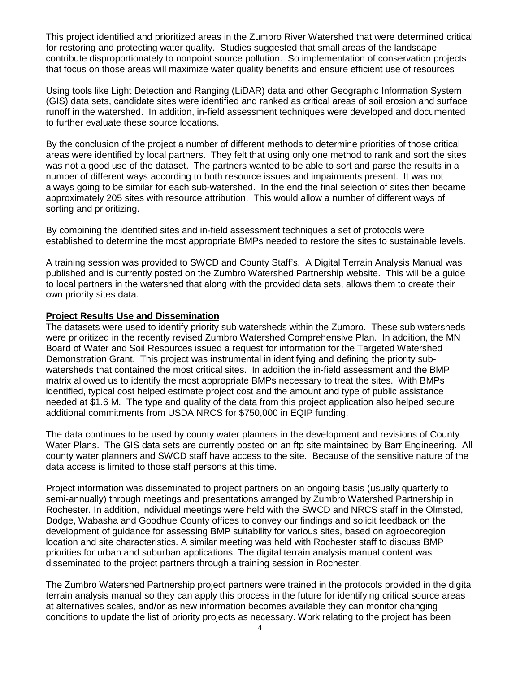This project identified and prioritized areas in the Zumbro River Watershed that were determined critical for restoring and protecting water quality. Studies suggested that small areas of the landscape contribute disproportionately to nonpoint source pollution. So implementation of conservation projects that focus on those areas will maximize water quality benefits and ensure efficient use of resources

Using tools like Light Detection and Ranging (LiDAR) data and other Geographic Information System (GIS) data sets, candidate sites were identified and ranked as critical areas of soil erosion and surface runoff in the watershed. In addition, in-field assessment techniques were developed and documented to further evaluate these source locations.

By the conclusion of the project a number of different methods to determine priorities of those critical areas were identified by local partners. They felt that using only one method to rank and sort the sites was not a good use of the dataset. The partners wanted to be able to sort and parse the results in a number of different ways according to both resource issues and impairments present. It was not always going to be similar for each sub-watershed. In the end the final selection of sites then became approximately 205 sites with resource attribution. This would allow a number of different ways of sorting and prioritizing.

By combining the identified sites and in-field assessment techniques a set of protocols were established to determine the most appropriate BMPs needed to restore the sites to sustainable levels.

A training session was provided to SWCD and County Staff's. A Digital Terrain Analysis Manual was published and is currently posted on the Zumbro Watershed Partnership website. This will be a guide to local partners in the watershed that along with the provided data sets, allows them to create their own priority sites data.

### **Project Results Use and Dissemination**

The datasets were used to identify priority sub watersheds within the Zumbro. These sub watersheds were prioritized in the recently revised Zumbro Watershed Comprehensive Plan. In addition, the MN Board of Water and Soil Resources issued a request for information for the Targeted Watershed Demonstration Grant. This project was instrumental in identifying and defining the priority subwatersheds that contained the most critical sites. In addition the in-field assessment and the BMP matrix allowed us to identify the most appropriate BMPs necessary to treat the sites. With BMPs identified, typical cost helped estimate project cost and the amount and type of public assistance needed at \$1.6 M. The type and quality of the data from this project application also helped secure additional commitments from USDA NRCS for \$750,000 in EQIP funding.

The data continues to be used by county water planners in the development and revisions of County Water Plans. The GIS data sets are currently posted on an ftp site maintained by Barr Engineering. All county water planners and SWCD staff have access to the site. Because of the sensitive nature of the data access is limited to those staff persons at this time.

Project information was disseminated to project partners on an ongoing basis (usually quarterly to semi-annually) through meetings and presentations arranged by Zumbro Watershed Partnership in Rochester. In addition, individual meetings were held with the SWCD and NRCS staff in the Olmsted, Dodge, Wabasha and Goodhue County offices to convey our findings and solicit feedback on the development of guidance for assessing BMP suitability for various sites, based on agroecoregion location and site characteristics. A similar meeting was held with Rochester staff to discuss BMP priorities for urban and suburban applications. The digital terrain analysis manual content was disseminated to the project partners through a training session in Rochester.

The Zumbro Watershed Partnership project partners were trained in the protocols provided in the digital terrain analysis manual so they can apply this process in the future for identifying critical source areas at alternatives scales, and/or as new information becomes available they can monitor changing conditions to update the list of priority projects as necessary. Work relating to the project has been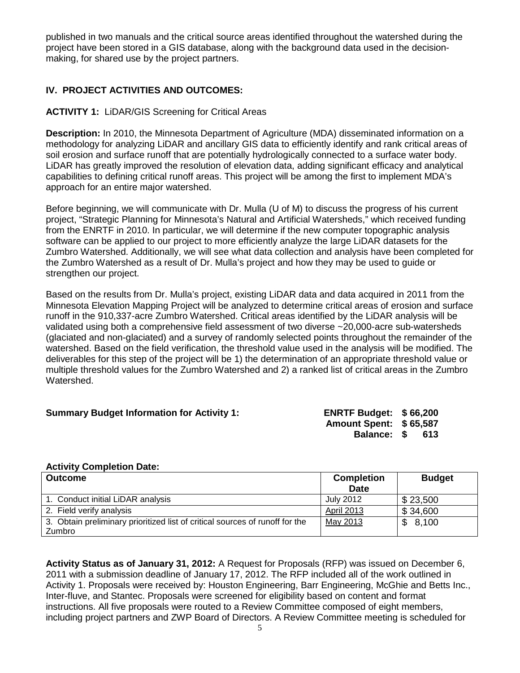published in two manuals and the critical source areas identified throughout the watershed during the project have been stored in a GIS database, along with the background data used in the decisionmaking, for shared use by the project partners.

## **IV. PROJECT ACTIVITIES AND OUTCOMES:**

## **ACTIVITY 1:** LiDAR/GIS Screening for Critical Areas

**Description:** In 2010, the Minnesota Department of Agriculture (MDA) disseminated information on a methodology for analyzing LiDAR and ancillary GIS data to efficiently identify and rank critical areas of soil erosion and surface runoff that are potentially hydrologically connected to a surface water body. LiDAR has greatly improved the resolution of elevation data, adding significant efficacy and analytical capabilities to defining critical runoff areas. This project will be among the first to implement MDA's approach for an entire major watershed.

Before beginning, we will communicate with Dr. Mulla (U of M) to discuss the progress of his current project, "Strategic Planning for Minnesota's Natural and Artificial Watersheds," which received funding from the ENRTF in 2010. In particular, we will determine if the new computer topographic analysis software can be applied to our project to more efficiently analyze the large LiDAR datasets for the Zumbro Watershed. Additionally, we will see what data collection and analysis have been completed for the Zumbro Watershed as a result of Dr. Mulla's project and how they may be used to guide or strengthen our project.

Based on the results from Dr. Mulla's project, existing LiDAR data and data acquired in 2011 from the Minnesota Elevation Mapping Project will be analyzed to determine critical areas of erosion and surface runoff in the 910,337-acre Zumbro Watershed. Critical areas identified by the LiDAR analysis will be validated using both a comprehensive field assessment of two diverse ~20,000-acre sub-watersheds (glaciated and non-glaciated) and a survey of randomly selected points throughout the remainder of the watershed. Based on the field verification, the threshold value used in the analysis will be modified. The deliverables for this step of the project will be 1) the determination of an appropriate threshold value or multiple threshold values for the Zumbro Watershed and 2) a ranked list of critical areas in the Zumbro Watershed.

#### **Summary Budget Information for Activity 1:**

| <b>ENRTF Budget:</b> |   | \$66,200 |
|----------------------|---|----------|
| <b>Amount Spent:</b> |   | \$65,587 |
| <b>Balance:</b>      | S | 613      |

#### **Activity Completion Date:**

| <b>Outcome</b>                                                               | <b>Completion</b><br><b>Date</b> | <b>Budget</b> |
|------------------------------------------------------------------------------|----------------------------------|---------------|
| 1. Conduct initial LiDAR analysis                                            | July 2012                        | \$23,500      |
| 2. Field verify analysis                                                     | <b>April 2013</b>                | \$34,600      |
| 3. Obtain preliminary prioritized list of critical sources of runoff for the | May 2013                         | \$8,100       |
| Zumbro                                                                       |                                  |               |

**Activity Status as of January 31, 2012:** A Request for Proposals (RFP) was issued on December 6, 2011 with a submission deadline of January 17, 2012. The RFP included all of the work outlined in Activity 1. Proposals were received by: Houston Engineering, Barr Engineering, McGhie and Betts Inc., Inter-fluve, and Stantec. Proposals were screened for eligibility based on content and format instructions. All five proposals were routed to a Review Committee composed of eight members, including project partners and ZWP Board of Directors. A Review Committee meeting is scheduled for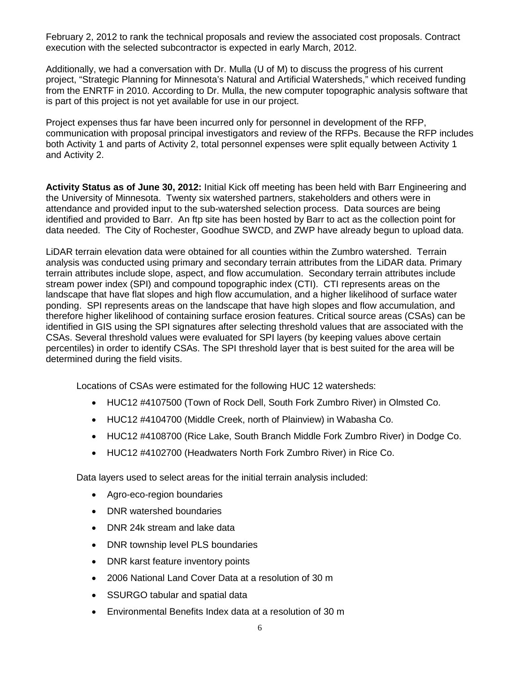February 2, 2012 to rank the technical proposals and review the associated cost proposals. Contract execution with the selected subcontractor is expected in early March, 2012.

Additionally, we had a conversation with Dr. Mulla (U of M) to discuss the progress of his current project, "Strategic Planning for Minnesota's Natural and Artificial Watersheds," which received funding from the ENRTF in 2010. According to Dr. Mulla, the new computer topographic analysis software that is part of this project is not yet available for use in our project.

Project expenses thus far have been incurred only for personnel in development of the RFP, communication with proposal principal investigators and review of the RFPs. Because the RFP includes both Activity 1 and parts of Activity 2, total personnel expenses were split equally between Activity 1 and Activity 2.

**Activity Status as of June 30, 2012:** Initial Kick off meeting has been held with Barr Engineering and the University of Minnesota. Twenty six watershed partners, stakeholders and others were in attendance and provided input to the sub-watershed selection process. Data sources are being identified and provided to Barr. An ftp site has been hosted by Barr to act as the collection point for data needed. The City of Rochester, Goodhue SWCD, and ZWP have already begun to upload data.

LiDAR terrain elevation data were obtained for all counties within the Zumbro watershed. Terrain analysis was conducted using primary and secondary terrain attributes from the LiDAR data. Primary terrain attributes include slope, aspect, and flow accumulation. Secondary terrain attributes include stream power index (SPI) and compound topographic index (CTI). CTI represents areas on the landscape that have flat slopes and high flow accumulation, and a higher likelihood of surface water ponding. SPI represents areas on the landscape that have high slopes and flow accumulation, and therefore higher likelihood of containing surface erosion features. Critical source areas (CSAs) can be identified in GIS using the SPI signatures after selecting threshold values that are associated with the CSAs. Several threshold values were evaluated for SPI layers (by keeping values above certain percentiles) in order to identify CSAs. The SPI threshold layer that is best suited for the area will be determined during the field visits.

Locations of CSAs were estimated for the following HUC 12 watersheds:

- HUC12 #4107500 (Town of Rock Dell, South Fork Zumbro River) in Olmsted Co.
- HUC12 #4104700 (Middle Creek, north of Plainview) in Wabasha Co.
- HUC12 #4108700 (Rice Lake, South Branch Middle Fork Zumbro River) in Dodge Co.
- HUC12 #4102700 (Headwaters North Fork Zumbro River) in Rice Co.

Data layers used to select areas for the initial terrain analysis included:

- Agro-eco-region boundaries
- DNR watershed boundaries
- DNR 24k stream and lake data
- DNR township level PLS boundaries
- DNR karst feature inventory points
- 2006 National Land Cover Data at a resolution of 30 m
- SSURGO tabular and spatial data
- Environmental Benefits Index data at a resolution of 30 m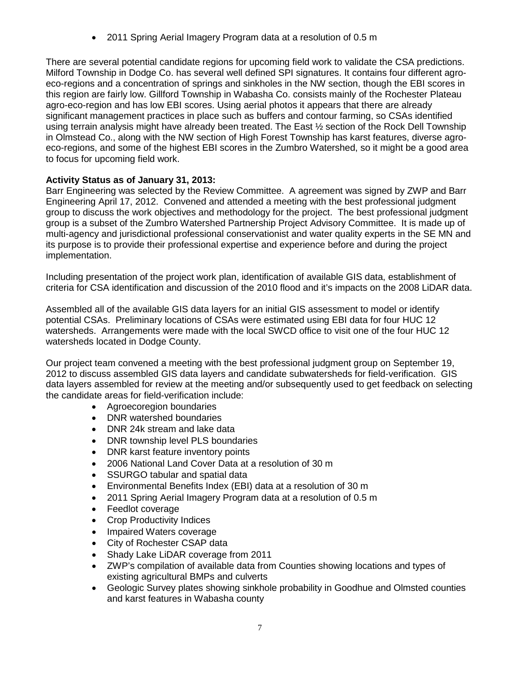• 2011 Spring Aerial Imagery Program data at a resolution of 0.5 m

There are several potential candidate regions for upcoming field work to validate the CSA predictions. Milford Township in Dodge Co. has several well defined SPI signatures. It contains four different agroeco-regions and a concentration of springs and sinkholes in the NW section, though the EBI scores in this region are fairly low. Gillford Township in Wabasha Co. consists mainly of the Rochester Plateau agro-eco-region and has low EBI scores. Using aerial photos it appears that there are already significant management practices in place such as buffers and contour farming, so CSAs identified using terrain analysis might have already been treated. The East ½ section of the Rock Dell Township in Olmstead Co., along with the NW section of High Forest Township has karst features, diverse agroeco-regions, and some of the highest EBI scores in the Zumbro Watershed, so it might be a good area to focus for upcoming field work.

## **Activity Status as of January 31, 2013:**

Barr Engineering was selected by the Review Committee. A agreement was signed by ZWP and Barr Engineering April 17, 2012. Convened and attended a meeting with the best professional judgment group to discuss the work objectives and methodology for the project. The best professional judgment group is a subset of the Zumbro Watershed Partnership Project Advisory Committee. It is made up of multi-agency and jurisdictional professional conservationist and water quality experts in the SE MN and its purpose is to provide their professional expertise and experience before and during the project implementation.

Including presentation of the project work plan, identification of available GIS data, establishment of criteria for CSA identification and discussion of the 2010 flood and it's impacts on the 2008 LiDAR data.

Assembled all of the available GIS data layers for an initial GIS assessment to model or identify potential CSAs. Preliminary locations of CSAs were estimated using EBI data for four HUC 12 watersheds. Arrangements were made with the local SWCD office to visit one of the four HUC 12 watersheds located in Dodge County.

Our project team convened a meeting with the best professional judgment group on September 19, 2012 to discuss assembled GIS data layers and candidate subwatersheds for field-verification. GIS data layers assembled for review at the meeting and/or subsequently used to get feedback on selecting the candidate areas for field-verification include:

- Agroecoregion boundaries
- DNR watershed boundaries
- DNR 24k stream and lake data
- DNR township level PLS boundaries
- DNR karst feature inventory points
- 2006 National Land Cover Data at a resolution of 30 m
- SSURGO tabular and spatial data
- Environmental Benefits Index (EBI) data at a resolution of 30 m
- 2011 Spring Aerial Imagery Program data at a resolution of 0.5 m
- Feedlot coverage
- **Crop Productivity Indices**
- Impaired Waters coverage
- City of Rochester CSAP data
- Shady Lake LiDAR coverage from 2011
- ZWP's compilation of available data from Counties showing locations and types of existing agricultural BMPs and culverts
- Geologic Survey plates showing sinkhole probability in Goodhue and Olmsted counties and karst features in Wabasha county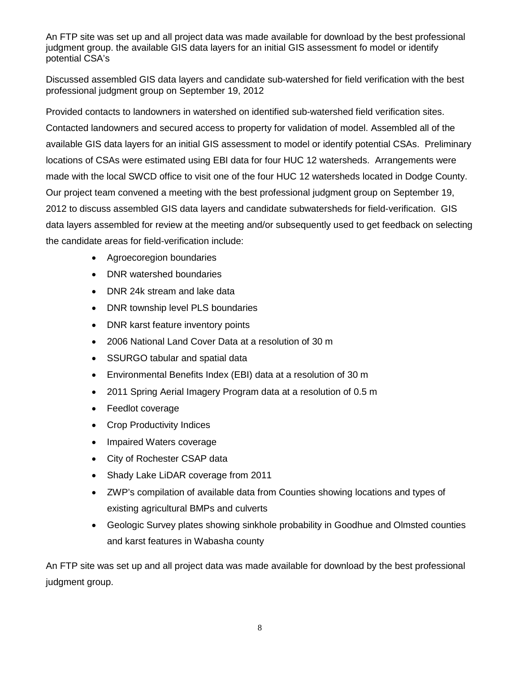An FTP site was set up and all project data was made available for download by the best professional judgment group. the available GIS data layers for an initial GIS assessment fo model or identify potential CSA's

Discussed assembled GIS data layers and candidate sub-watershed for field verification with the best professional judgment group on September 19, 2012

Provided contacts to landowners in watershed on identified sub-watershed field verification sites. Contacted landowners and secured access to property for validation of model. Assembled all of the available GIS data layers for an initial GIS assessment to model or identify potential CSAs. Preliminary locations of CSAs were estimated using EBI data for four HUC 12 watersheds. Arrangements were made with the local SWCD office to visit one of the four HUC 12 watersheds located in Dodge County. Our project team convened a meeting with the best professional judgment group on September 19, 2012 to discuss assembled GIS data layers and candidate subwatersheds for field-verification. GIS data layers assembled for review at the meeting and/or subsequently used to get feedback on selecting the candidate areas for field-verification include:

- Agroecoregion boundaries
- DNR watershed boundaries
- DNR 24k stream and lake data
- DNR township level PLS boundaries
- DNR karst feature inventory points
- 2006 National Land Cover Data at a resolution of 30 m
- SSURGO tabular and spatial data
- Environmental Benefits Index (EBI) data at a resolution of 30 m
- 2011 Spring Aerial Imagery Program data at a resolution of 0.5 m
- Feedlot coverage
- Crop Productivity Indices
- Impaired Waters coverage
- City of Rochester CSAP data
- Shady Lake LiDAR coverage from 2011
- ZWP's compilation of available data from Counties showing locations and types of existing agricultural BMPs and culverts
- Geologic Survey plates showing sinkhole probability in Goodhue and Olmsted counties and karst features in Wabasha county

An FTP site was set up and all project data was made available for download by the best professional judgment group.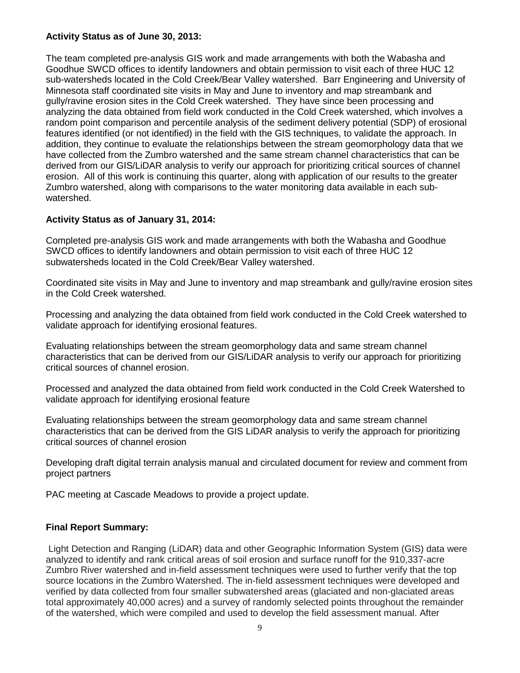## **Activity Status as of June 30, 2013:**

The team completed pre-analysis GIS work and made arrangements with both the Wabasha and Goodhue SWCD offices to identify landowners and obtain permission to visit each of three HUC 12 sub-watersheds located in the Cold Creek/Bear Valley watershed. Barr Engineering and University of Minnesota staff coordinated site visits in May and June to inventory and map streambank and gully/ravine erosion sites in the Cold Creek watershed. They have since been processing and analyzing the data obtained from field work conducted in the Cold Creek watershed, which involves a random point comparison and percentile analysis of the sediment delivery potential (SDP) of erosional features identified (or not identified) in the field with the GIS techniques, to validate the approach. In addition, they continue to evaluate the relationships between the stream geomorphology data that we have collected from the Zumbro watershed and the same stream channel characteristics that can be derived from our GIS/LiDAR analysis to verify our approach for prioritizing critical sources of channel erosion. All of this work is continuing this quarter, along with application of our results to the greater Zumbro watershed, along with comparisons to the water monitoring data available in each subwatershed.

## **Activity Status as of January 31, 2014:**

Completed pre-analysis GIS work and made arrangements with both the Wabasha and Goodhue SWCD offices to identify landowners and obtain permission to visit each of three HUC 12 subwatersheds located in the Cold Creek/Bear Valley watershed.

Coordinated site visits in May and June to inventory and map streambank and gully/ravine erosion sites in the Cold Creek watershed.

Processing and analyzing the data obtained from field work conducted in the Cold Creek watershed to validate approach for identifying erosional features.

Evaluating relationships between the stream geomorphology data and same stream channel characteristics that can be derived from our GIS/LiDAR analysis to verify our approach for prioritizing critical sources of channel erosion.

Processed and analyzed the data obtained from field work conducted in the Cold Creek Watershed to validate approach for identifying erosional feature

Evaluating relationships between the stream geomorphology data and same stream channel characteristics that can be derived from the GIS LiDAR analysis to verify the approach for prioritizing critical sources of channel erosion

Developing draft digital terrain analysis manual and circulated document for review and comment from project partners

PAC meeting at Cascade Meadows to provide a project update.

## **Final Report Summary:**

Light Detection and Ranging (LiDAR) data and other Geographic Information System (GIS) data were analyzed to identify and rank critical areas of soil erosion and surface runoff for the 910,337-acre Zumbro River watershed and in-field assessment techniques were used to further verify that the top source locations in the Zumbro Watershed. The in-field assessment techniques were developed and verified by data collected from four smaller subwatershed areas (glaciated and non-glaciated areas total approximately 40,000 acres) and a survey of randomly selected points throughout the remainder of the watershed, which were compiled and used to develop the field assessment manual. After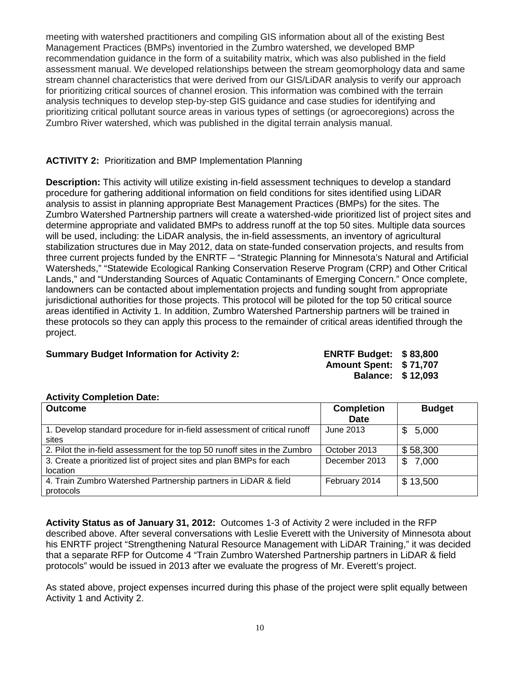meeting with watershed practitioners and compiling GIS information about all of the existing Best Management Practices (BMPs) inventoried in the Zumbro watershed, we developed BMP recommendation guidance in the form of a suitability matrix, which was also published in the field assessment manual. We developed relationships between the stream geomorphology data and same stream channel characteristics that were derived from our GIS/LiDAR analysis to verify our approach for prioritizing critical sources of channel erosion. This information was combined with the terrain analysis techniques to develop step-by-step GIS guidance and case studies for identifying and prioritizing critical pollutant source areas in various types of settings (or agroecoregions) across the Zumbro River watershed, which was published in the digital terrain analysis manual.

## **ACTIVITY 2:** Prioritization and BMP Implementation Planning

**Description:** This activity will utilize existing in-field assessment techniques to develop a standard procedure for gathering additional information on field conditions for sites identified using LiDAR analysis to assist in planning appropriate Best Management Practices (BMPs) for the sites. The Zumbro Watershed Partnership partners will create a watershed-wide prioritized list of project sites and determine appropriate and validated BMPs to address runoff at the top 50 sites. Multiple data sources will be used, including: the LiDAR analysis, the in-field assessments, an inventory of agricultural stabilization structures due in May 2012, data on state-funded conservation projects, and results from three current projects funded by the ENRTF – "Strategic Planning for Minnesota's Natural and Artificial Watersheds," "Statewide Ecological Ranking Conservation Reserve Program (CRP) and Other Critical Lands," and "Understanding Sources of Aquatic Contaminants of Emerging Concern." Once complete, landowners can be contacted about implementation projects and funding sought from appropriate jurisdictional authorities for those projects. This protocol will be piloted for the top 50 critical source areas identified in Activity 1. In addition, Zumbro Watershed Partnership partners will be trained in these protocols so they can apply this process to the remainder of critical areas identified through the project.

## **Summary Budget Information for Activity 2:**

| <b>ENRTF Budget:</b> | \$83,800 |
|----------------------|----------|
| <b>Amount Spent:</b> | \$71,707 |
| <b>Balance:</b>      | \$12,093 |

#### **Activity Completion Date:**

| <b>Outcome</b>                                                             | <b>Completion</b> | <b>Budget</b> |
|----------------------------------------------------------------------------|-------------------|---------------|
|                                                                            | <b>Date</b>       |               |
| 1. Develop standard procedure for in-field assessment of critical runoff   | June 2013         | \$5,000       |
| sites                                                                      |                   |               |
| 2. Pilot the in-field assessment for the top 50 runoff sites in the Zumbro | October 2013      | \$58,300      |
| 3. Create a prioritized list of project sites and plan BMPs for each       | December 2013     | 7,000<br>\$   |
| location                                                                   |                   |               |
| 4. Train Zumbro Watershed Partnership partners in LiDAR & field            | February 2014     | \$13,500      |
| protocols                                                                  |                   |               |

**Activity Status as of January 31, 2012:** Outcomes 1-3 of Activity 2 were included in the RFP described above. After several conversations with Leslie Everett with the University of Minnesota about his ENRTF project "Strengthening Natural Resource Management with LiDAR Training," it was decided that a separate RFP for Outcome 4 "Train Zumbro Watershed Partnership partners in LiDAR & field protocols" would be issued in 2013 after we evaluate the progress of Mr. Everett's project.

As stated above, project expenses incurred during this phase of the project were split equally between Activity 1 and Activity 2.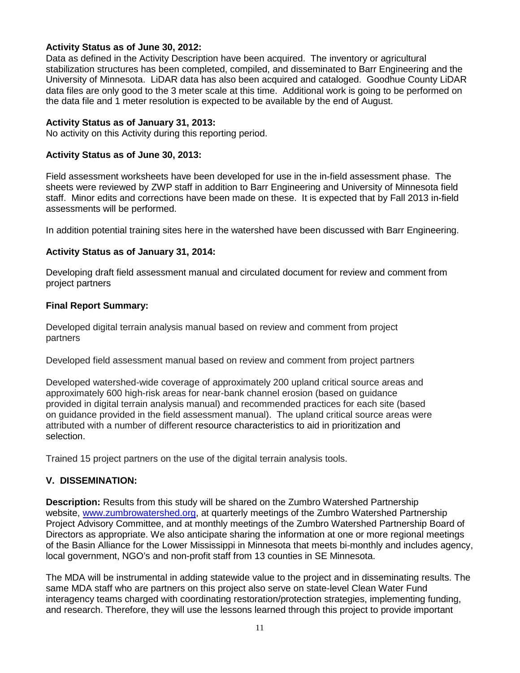## **Activity Status as of June 30, 2012:**

Data as defined in the Activity Description have been acquired. The inventory or agricultural stabilization structures has been completed, compiled, and disseminated to Barr Engineering and the University of Minnesota. LiDAR data has also been acquired and cataloged. Goodhue County LiDAR data files are only good to the 3 meter scale at this time. Additional work is going to be performed on the data file and 1 meter resolution is expected to be available by the end of August.

## **Activity Status as of January 31, 2013:**

No activity on this Activity during this reporting period.

## **Activity Status as of June 30, 2013:**

Field assessment worksheets have been developed for use in the in-field assessment phase. The sheets were reviewed by ZWP staff in addition to Barr Engineering and University of Minnesota field staff. Minor edits and corrections have been made on these. It is expected that by Fall 2013 in-field assessments will be performed.

In addition potential training sites here in the watershed have been discussed with Barr Engineering.

## **Activity Status as of January 31, 2014:**

Developing draft field assessment manual and circulated document for review and comment from project partners

### **Final Report Summary:**

Developed digital terrain analysis manual based on review and comment from project partners

Developed field assessment manual based on review and comment from project partners

Developed watershed-wide coverage of approximately 200 upland critical source areas and approximately 600 high-risk areas for near-bank channel erosion (based on guidance provided in digital terrain analysis manual) and recommended practices for each site (based on guidance provided in the field assessment manual). The upland critical source areas were attributed with a number of different resource characteristics to aid in prioritization and selection.

Trained 15 project partners on the use of the digital terrain analysis tools.

## **V. DISSEMINATION:**

**Description:** Results from this study will be shared on the Zumbro Watershed Partnership website, [www.zumbrowatershed.org,](http://www.zumbrowatershed.org/) at quarterly meetings of the Zumbro Watershed Partnership Project Advisory Committee, and at monthly meetings of the Zumbro Watershed Partnership Board of Directors as appropriate. We also anticipate sharing the information at one or more regional meetings of the Basin Alliance for the Lower Mississippi in Minnesota that meets bi-monthly and includes agency, local government, NGO's and non-profit staff from 13 counties in SE Minnesota.

The MDA will be instrumental in adding statewide value to the project and in disseminating results. The same MDA staff who are partners on this project also serve on state-level Clean Water Fund interagency teams charged with coordinating restoration/protection strategies, implementing funding, and research. Therefore, they will use the lessons learned through this project to provide important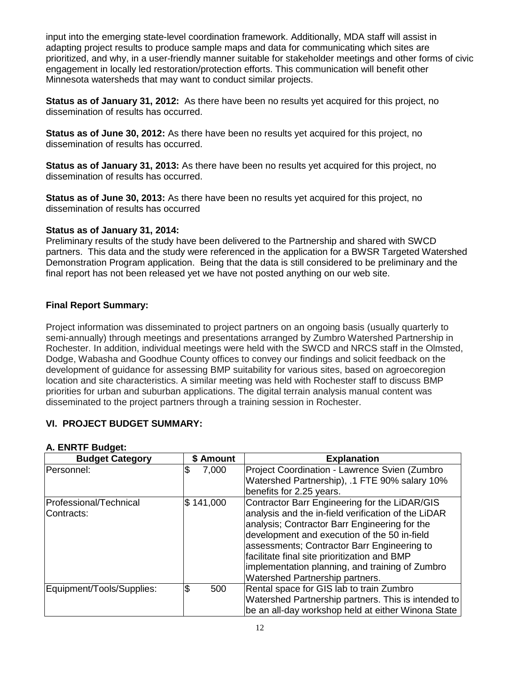input into the emerging state-level coordination framework. Additionally, MDA staff will assist in adapting project results to produce sample maps and data for communicating which sites are prioritized, and why, in a user-friendly manner suitable for stakeholder meetings and other forms of civic engagement in locally led restoration/protection efforts. This communication will benefit other Minnesota watersheds that may want to conduct similar projects.

**Status as of January 31, 2012:** As there have been no results yet acquired for this project, no dissemination of results has occurred.

**Status as of June 30, 2012:** As there have been no results yet acquired for this project, no dissemination of results has occurred.

**Status as of January 31, 2013:** As there have been no results yet acquired for this project, no dissemination of results has occurred.

**Status as of June 30, 2013:** As there have been no results yet acquired for this project, no dissemination of results has occurred

### **Status as of January 31, 2014:**

Preliminary results of the study have been delivered to the Partnership and shared with SWCD partners. This data and the study were referenced in the application for a BWSR Targeted Watershed Demonstration Program application. Being that the data is still considered to be preliminary and the final report has not been released yet we have not posted anything on our web site.

## **Final Report Summary:**

Project information was disseminated to project partners on an ongoing basis (usually quarterly to semi-annually) through meetings and presentations arranged by Zumbro Watershed Partnership in Rochester. In addition, individual meetings were held with the SWCD and NRCS staff in the Olmsted, Dodge, Wabasha and Goodhue County offices to convey our findings and solicit feedback on the development of guidance for assessing BMP suitability for various sites, based on agroecoregion location and site characteristics. A similar meeting was held with Rochester staff to discuss BMP priorities for urban and suburban applications. The digital terrain analysis manual content was disseminated to the project partners through a training session in Rochester.

## **VI. PROJECT BUDGET SUMMARY:**

| <b>Budget Category</b>                | \$ Amount  | <b>Explanation</b>                                                                                                                                                                                                                                                                                                                                                                         |
|---------------------------------------|------------|--------------------------------------------------------------------------------------------------------------------------------------------------------------------------------------------------------------------------------------------------------------------------------------------------------------------------------------------------------------------------------------------|
| Personnel:                            | 7,000<br>J | Project Coordination - Lawrence Svien (Zumbro<br>Watershed Partnership), .1 FTE 90% salary 10%<br>benefits for 2.25 years.                                                                                                                                                                                                                                                                 |
| Professional/Technical<br>IContracts: | \$141,000  | Contractor Barr Engineering for the LiDAR/GIS<br>analysis and the in-field verification of the LiDAR<br>analysis; Contractor Barr Engineering for the<br>development and execution of the 50 in-field<br>assessments; Contractor Barr Engineering to<br>facilitate final site prioritization and BMP<br>implementation planning, and training of Zumbro<br>Watershed Partnership partners. |
| Equipment/Tools/Supplies:             | \$<br>500  | Rental space for GIS lab to train Zumbro<br>Watershed Partnership partners. This is intended to<br>be an all-day workshop held at either Winona State                                                                                                                                                                                                                                      |

### **A. ENRTF Budget:**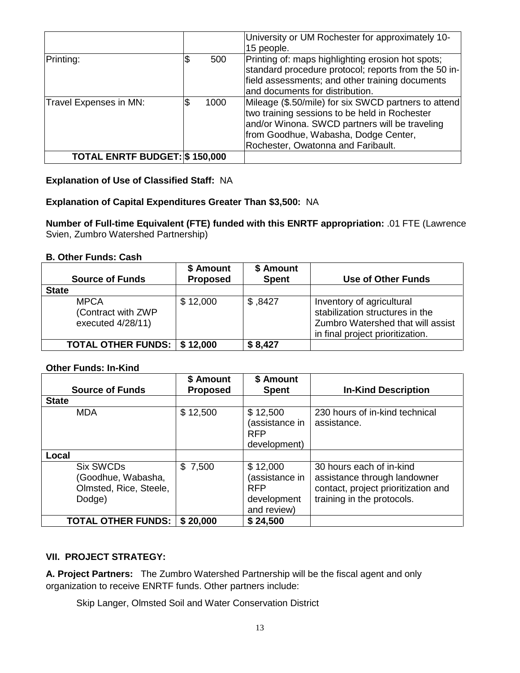|                                       |      | University or UM Rochester for approximately 10-<br>15 people.                                                                                                                                                                        |
|---------------------------------------|------|---------------------------------------------------------------------------------------------------------------------------------------------------------------------------------------------------------------------------------------|
| Printing:                             | 500  | Printing of: maps highlighting erosion hot spots;<br>standard procedure protocol; reports from the 50 in-<br>field assessments; and other training documents<br>and documents for distribution.                                       |
| Travel Expenses in MN:                | 1000 | Mileage (\$.50/mile) for six SWCD partners to attend<br>two training sessions to be held in Rochester<br>and/or Winona. SWCD partners will be traveling<br>from Goodhue, Wabasha, Dodge Center,<br>Rochester, Owatonna and Faribault. |
| <b>TOTAL ENRTF BUDGET: \$ 150,000</b> |      |                                                                                                                                                                                                                                       |

## **Explanation of Use of Classified Staff:** NA

## **Explanation of Capital Expenditures Greater Than \$3,500:** NA

**Number of Full-time Equivalent (FTE) funded with this ENRTF appropriation:** .01 FTE (Lawrence Svien, Zumbro Watershed Partnership)

#### **B. Other Funds: Cash**

| <b>Source of Funds</b>                                 | \$ Amount<br><b>Proposed</b> | \$ Amount<br><b>Spent</b> | <b>Use of Other Funds</b>                                                                                                             |
|--------------------------------------------------------|------------------------------|---------------------------|---------------------------------------------------------------------------------------------------------------------------------------|
| <b>State</b>                                           |                              |                           |                                                                                                                                       |
| <b>MPCA</b><br>(Contract with ZWP<br>executed 4/28/11) | \$12,000                     | \$,8427                   | Inventory of agricultural<br>stabilization structures in the<br>Zumbro Watershed that will assist<br>in final project prioritization. |
| <b>TOTAL OTHER FUNDS:   \$12,000</b>                   |                              | \$8,427                   |                                                                                                                                       |

## **Other Funds: In-Kind**

| <b>Source of Funds</b>                                                    | \$ Amount<br><b>Proposed</b> | \$ Amount<br><b>Spent</b>                                              | <b>In-Kind Description</b>                                                                                                    |
|---------------------------------------------------------------------------|------------------------------|------------------------------------------------------------------------|-------------------------------------------------------------------------------------------------------------------------------|
|                                                                           |                              |                                                                        |                                                                                                                               |
| <b>State</b>                                                              |                              |                                                                        |                                                                                                                               |
| <b>MDA</b>                                                                | \$12,500                     | \$12,500<br>(assistance in<br><b>RFP</b><br>development)               | 230 hours of in-kind technical<br>assistance.                                                                                 |
| Local                                                                     |                              |                                                                        |                                                                                                                               |
| <b>Six SWCDs</b><br>Goodhue, Wabasha,<br>Olmsted, Rice, Steele,<br>Dodge) | \$7,500                      | \$12,000<br>(assistance in<br><b>RFP</b><br>development<br>and review) | 30 hours each of in-kind<br>assistance through landowner<br>contact, project prioritization and<br>training in the protocols. |
| <b>TOTAL OTHER FUNDS:</b>                                                 | \$20,000                     | \$24,500                                                               |                                                                                                                               |

# **VII. PROJECT STRATEGY:**

**A. Project Partners:** The Zumbro Watershed Partnership will be the fiscal agent and only organization to receive ENRTF funds. Other partners include:

Skip Langer, Olmsted Soil and Water Conservation District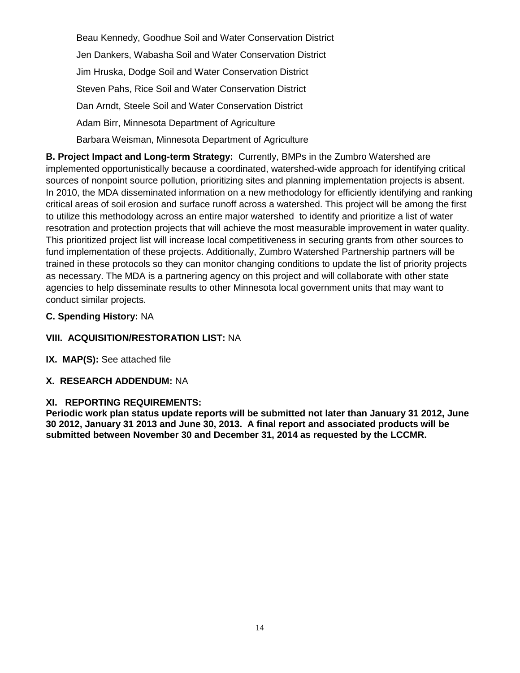Beau Kennedy, Goodhue Soil and Water Conservation District Jen Dankers, Wabasha Soil and Water Conservation District Jim Hruska, Dodge Soil and Water Conservation District Steven Pahs, Rice Soil and Water Conservation District Dan Arndt, Steele Soil and Water Conservation District Adam Birr, Minnesota Department of Agriculture Barbara Weisman, Minnesota Department of Agriculture

**B. Project Impact and Long-term Strategy:** Currently, BMPs in the Zumbro Watershed are implemented opportunistically because a coordinated, watershed-wide approach for identifying critical sources of nonpoint source pollution, prioritizing sites and planning implementation projects is absent. In 2010, the MDA disseminated information on a new methodology for efficiently identifying and ranking critical areas of soil erosion and surface runoff across a watershed. This project will be among the first to utilize this methodology across an entire major watershed to identify and prioritize a list of water resotration and protection projects that will achieve the most measurable improvement in water quality. This prioritized project list will increase local competitiveness in securing grants from other sources to fund implementation of these projects. Additionally, Zumbro Watershed Partnership partners will be trained in these protocols so they can monitor changing conditions to update the list of priority projects as necessary. The MDA is a partnering agency on this project and will collaborate with other state agencies to help disseminate results to other Minnesota local government units that may want to conduct similar projects.

## **C. Spending History:** NA

# **VIII. ACQUISITION/RESTORATION LIST:** NA

**IX. MAP(S):** See attached file

## **X. RESEARCH ADDENDUM:** NA

## **XI. REPORTING REQUIREMENTS:**

**Periodic work plan status update reports will be submitted not later than January 31 2012, June 30 2012, January 31 2013 and June 30, 2013. A final report and associated products will be submitted between November 30 and December 31, 2014 as requested by the LCCMR.**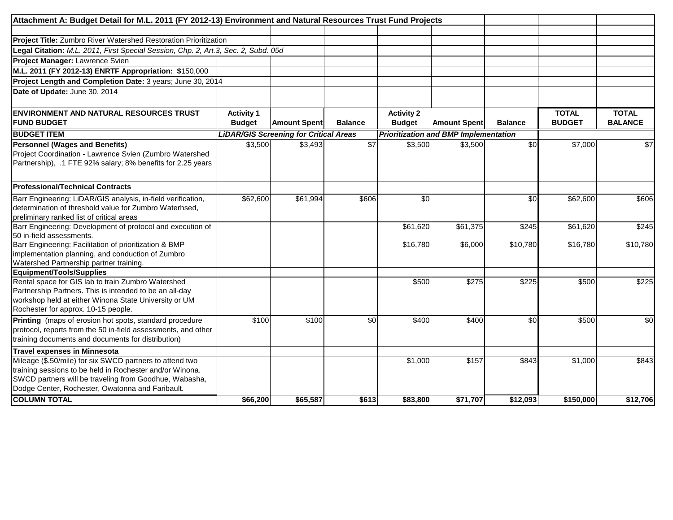| Attachment A: Budget Detail for M.L. 2011 (FY 2012-13) Environment and Natural Resources Trust Fund Projects |                   |                                               |                 |                   |                                              |                |               |                |
|--------------------------------------------------------------------------------------------------------------|-------------------|-----------------------------------------------|-----------------|-------------------|----------------------------------------------|----------------|---------------|----------------|
|                                                                                                              |                   |                                               |                 |                   |                                              |                |               |                |
| <b>Project Title:</b> Zumbro River Watershed Restoration Prioritization                                      |                   |                                               |                 |                   |                                              |                |               |                |
| Legal Citation: M.L. 2011, First Special Session, Chp. 2, Art.3, Sec. 2, Subd. 05d                           |                   |                                               |                 |                   |                                              |                |               |                |
| Project Manager: Lawrence Svien                                                                              |                   |                                               |                 |                   |                                              |                |               |                |
| M.L. 2011 (FY 2012-13) ENRTF Appropriation: \$150,000                                                        |                   |                                               |                 |                   |                                              |                |               |                |
| Project Length and Completion Date: 3 years; June 30, 2014                                                   |                   |                                               |                 |                   |                                              |                |               |                |
| Date of Update: June 30, 2014                                                                                |                   |                                               |                 |                   |                                              |                |               |                |
|                                                                                                              |                   |                                               |                 |                   |                                              |                |               |                |
| <b>ENVIRONMENT AND NATURAL RESOURCES TRUST</b>                                                               | <b>Activity 1</b> |                                               |                 | <b>Activity 2</b> |                                              |                | <b>TOTAL</b>  | <b>TOTAL</b>   |
| <b>FUND BUDGET</b>                                                                                           | <b>Budget</b>     | <b>Amount Spent</b>                           | <b>Balance</b>  | <b>Budget</b>     | <b>Amount Spent</b>                          | <b>Balance</b> | <b>BUDGET</b> | <b>BALANCE</b> |
| <b>BUDGET ITEM</b>                                                                                           |                   | <b>LiDAR/GIS Screening for Critical Areas</b> |                 |                   | <b>Prioritization and BMP Implementation</b> |                |               |                |
|                                                                                                              | \$3,500           | \$3,493                                       | $\overline{$7}$ | \$3,500           | \$3.500                                      | \$0            | \$7,000       | \$7            |
| <b>Personnel (Wages and Benefits)</b><br>Project Coordination - Lawrence Svien (Zumbro Watershed             |                   |                                               |                 |                   |                                              |                |               |                |
| Partnership), .1 FTE 92% salary; 8% benefits for 2.25 years                                                  |                   |                                               |                 |                   |                                              |                |               |                |
|                                                                                                              |                   |                                               |                 |                   |                                              |                |               |                |
| <b>Professional/Technical Contracts</b>                                                                      |                   |                                               |                 |                   |                                              |                |               |                |
| Barr Engineering: LiDAR/GIS analysis, in-field verification,                                                 | \$62,600          | \$61,994                                      | \$606           | \$0               |                                              | \$0            | \$62,600      | \$606          |
| determination of threshold value for Zumbro Waterhsed,                                                       |                   |                                               |                 |                   |                                              |                |               |                |
| preliminary ranked list of critical areas                                                                    |                   |                                               |                 |                   |                                              |                |               |                |
| Barr Engineering: Development of protocol and execution of                                                   |                   |                                               |                 | \$61,620          | \$61,375                                     | \$245          | \$61,620      | \$245          |
| 50 in-field assessments.                                                                                     |                   |                                               |                 |                   |                                              |                |               |                |
| Barr Engineering: Facilitation of prioritization & BMP                                                       |                   |                                               |                 | \$16,780          | \$6,000                                      | \$10,780       | \$16,780      | \$10,780       |
| implementation planning, and conduction of Zumbro                                                            |                   |                                               |                 |                   |                                              |                |               |                |
| Watershed Partnership partner training.                                                                      |                   |                                               |                 |                   |                                              |                |               |                |
| Equipment/Tools/Supplies                                                                                     |                   |                                               |                 |                   |                                              |                |               |                |
| Rental space for GIS lab to train Zumbro Watershed                                                           |                   |                                               |                 | \$500             | \$275                                        | \$225          | \$500         | \$225          |
| Partnership Partners. This is intended to be an all-day                                                      |                   |                                               |                 |                   |                                              |                |               |                |
| workshop held at either Winona State University or UM                                                        |                   |                                               |                 |                   |                                              |                |               |                |
| Rochester for approx. 10-15 people.                                                                          |                   |                                               |                 |                   |                                              |                |               |                |
| Printing (maps of erosion hot spots, standard procedure                                                      | \$100             | \$100                                         | \$0             | \$400             | \$400                                        | \$0            | \$500         | \$0            |
| protocol, reports from the 50 in-field assessments, and other                                                |                   |                                               |                 |                   |                                              |                |               |                |
| training documents and documents for distribution)                                                           |                   |                                               |                 |                   |                                              |                |               |                |
| Travel expenses in Minnesota                                                                                 |                   |                                               |                 |                   |                                              |                |               |                |
| Mileage (\$.50/mile) for six SWCD partners to attend two                                                     |                   |                                               |                 | \$1,000           | \$157                                        | \$843          | \$1,000       | \$843          |
| training sessions to be held in Rochester and/or Winona.                                                     |                   |                                               |                 |                   |                                              |                |               |                |
| SWCD partners will be traveling from Goodhue, Wabasha,                                                       |                   |                                               |                 |                   |                                              |                |               |                |
| Dodge Center, Rochester, Owatonna and Faribault.                                                             |                   |                                               |                 |                   |                                              |                |               |                |
| <b>COLUMN TOTAL</b>                                                                                          | \$66,200          | \$65,587                                      | \$613           | \$83,800          | \$71,707                                     | \$12,093       | \$150,000     | \$12,706       |